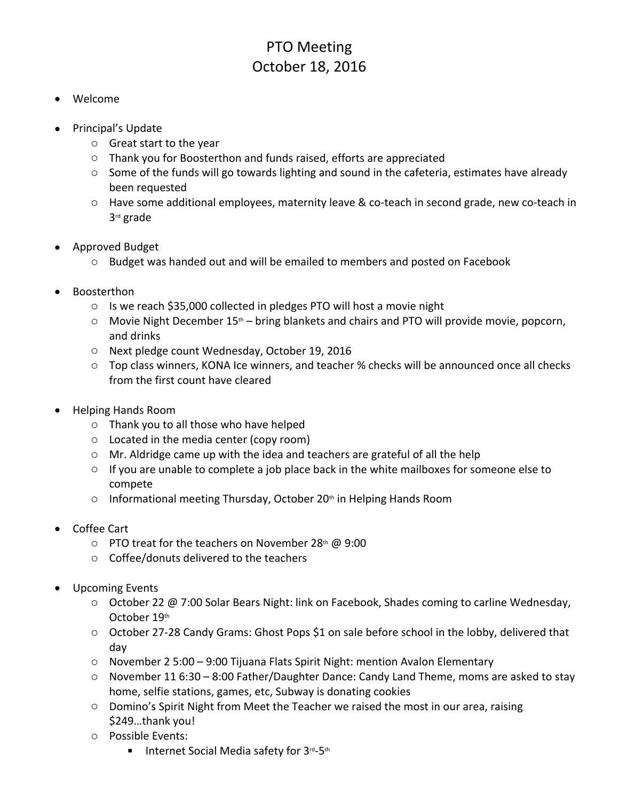## PTO Meeting October 18, 2016

- Welcome
- Principal's Update
	- o Great start to the year
	- o Thank you for Boosterthon and funds raised, efforts are appreciated
	- $\circ$  Some of the funds will go towards lighting and sound in the cafeteria, estimates have already been requested
	- o Have some additional employees, maternity leave & co-teach in second grade, new co-teach in 3rd grade
- Approved Budget
	- o Budget was handed out and will be emailed to members and posted on Facebook
- Boosterthon
	- o Is we reach \$35,000 collected in pledges PTO will host a movie night
	- $\circ$  Movie Night December 15<sup>th</sup> bring blankets and chairs and PTO will provide movie, popcorn, and drinks
	- o Next pledge count Wednesday, October 19, 2016
	- o Top class winners, KONA Ice winners, and teacher % checks will be announced once all checks from the first count have cleared
- Helping Hands Room
	- o Thank you to all those who have helped
	- o Located in the media center (copy room)
	- o Mr. Aldridge came up with the idea and teachers are grateful of all the help
	- $\circ$  If you are unable to complete a job place back in the white mailboxes for someone else to compete
	- $\circ$  Informational meeting Thursday, October 20<sup>th</sup> in Helping Hands Room
- Coffee Cart
	- $\circ$  PTO treat for the teachers on November 28<sup>th</sup> @ 9:00
	- o Coffee/donuts delivered to the teachers
- Upcoming Events
	- o October 22 @ 7:00 Solar Bears Night: link on Facebook, Shades coming to carline Wednesday, October 19th
	- o October 27-28 Candy Grams: Ghost Pops \$1 on sale before school in the lobby, delivered that day
	- o November 2 5:00 9:00 Tijuana Flats Spirit Night: mention Avalon Elementary
	- $\circ$  November 11 6:30 8:00 Father/Daughter Dance: Candy Land Theme, moms are asked to stay home, selfie stations, games, etc, Subway is donating cookies
	- o Domino's Spirit Night from Meet the Teacher we raised the most in our area, raising \$249…thank you!
	- o Possible Events:
		- Internet Social Media safety for 3rd-5th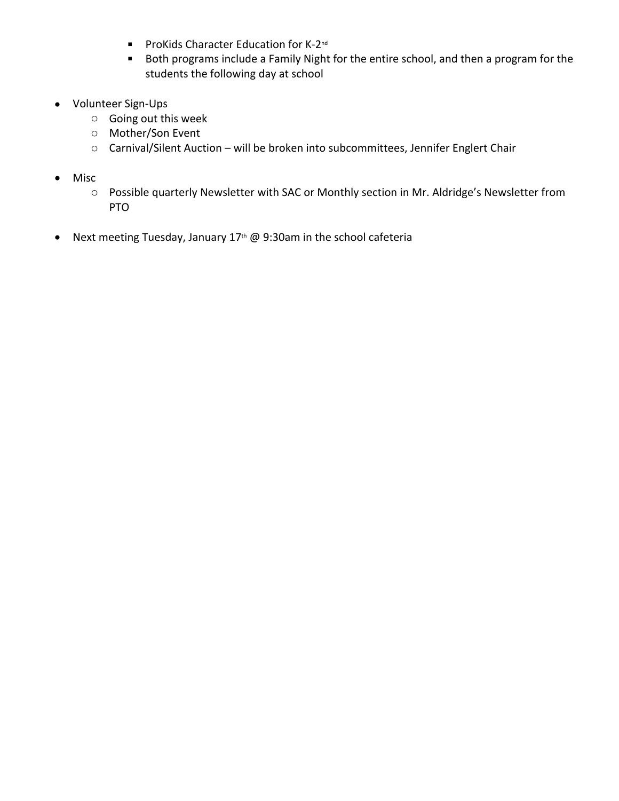- **ProKids Character Education for K-2<sup>nd</sup>**
- **Both programs include a Family Night for the entire school, and then a program for the** students the following day at school
- Volunteer Sign-Ups
	- o Going out this week
	- o Mother/Son Event
	- o Carnival/Silent Auction will be broken into subcommittees, Jennifer Englert Chair
- Misc
	- o Possible quarterly Newsletter with SAC or Monthly section in Mr. Aldridge's Newsletter from PTO
- Next meeting Tuesday, January  $17<sup>th</sup>$  @ 9:30am in the school cafeteria